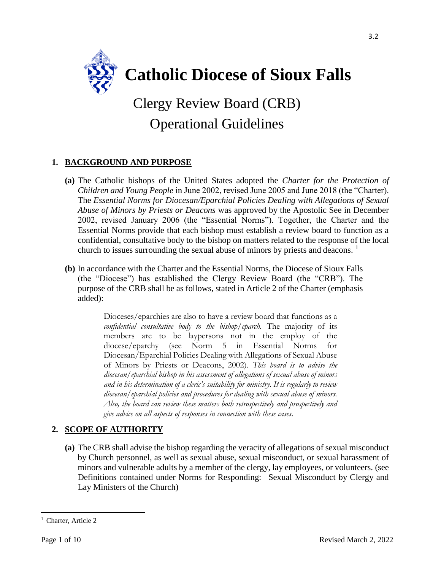

# Clergy Review Board (CRB) Operational Guidelines

## **1. BACKGROUND AND PURPOSE**

- **(a)** The Catholic bishops of the United States adopted the *Charter for the Protection of Children and Young People* in June 2002, revised June 2005 and June 2018 (the "Charter). The *Essential Norms for Diocesan/Eparchial Policies Dealing with Allegations of Sexual Abuse of Minors by Priests or Deacons* was approved by the Apostolic See in December 2002, revised January 2006 (the "Essential Norms"). Together, the Charter and the Essential Norms provide that each bishop must establish a review board to function as a confidential, consultative body to the bishop on matters related to the response of the local church to issues surrounding the sexual abuse of minors by priests and deacons.  $1$
- **(b)** In accordance with the Charter and the Essential Norms, the Diocese of Sioux Falls (the "Diocese") has established the Clergy Review Board (the "CRB"). The purpose of the CRB shall be as follows, stated in Article 2 of the Charter (emphasis added):

Dioceses/eparchies are also to have a review board that functions as a *confidential consultative body to the bishop/eparch.* The majority of its members are to be laypersons not in the employ of the diocese/eparchy (see Norm 5 in Essential Norms for Diocesan/Eparchial Policies Dealing with Allegations of Sexual Abuse of Minors by Priests or Deacons, 2002). *This board is to advise the diocesan/eparchial bishop in his assessment of allegations of sexual abuse of minors and in his determination of a cleric's suitability for ministry. It is regularly to review diocesan/eparchial policies and procedures for dealing with sexual abuse of minors. Also, the board can review these matters both retrospectively and prospectively and give advice on all aspects of responses in connection with these cases*.

## **2. SCOPE OF AUTHORITY**

**(a)** The CRB shall advise the bishop regarding the veracity of allegations of sexual misconduct by Church personnel, as well as sexual abuse, sexual misconduct, or sexual harassment of minors and vulnerable adults by a member of the clergy, lay employees, or volunteers. (see Definitions contained under Norms for Responding: Sexual Misconduct by Clergy and Lay Ministers of the Church)

 $\overline{\phantom{a}}$ <sup>1</sup> Charter, Article 2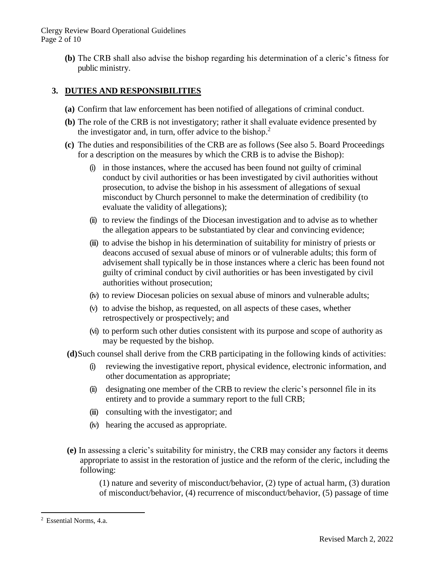Clergy Review Board Operational Guidelines Page 2 of 10

> **(b)** The CRB shall also advise the bishop regarding his determination of a cleric's fitness for public ministry.

## **3. DUTIES AND RESPONSIBILITIES**

- **(a)** Confirm that law enforcement has been notified of allegations of criminal conduct.
- **(b)** The role of the CRB is not investigatory; rather it shall evaluate evidence presented by the investigator and, in turn, offer advice to the bishop.<sup>2</sup>
- **(c)** The duties and responsibilities of the CRB are as follows (See also 5. Board Proceedings for a description on the measures by which the CRB is to advise the Bishop):
	- (i) in those instances, where the accused has been found not guilty of criminal conduct by civil authorities or has been investigated by civil authorities without prosecution, to advise the bishop in his assessment of allegations of sexual misconduct by Church personnel to make the determination of credibility (to evaluate the validity of allegations);
	- (ii) to review the findings of the Diocesan investigation and to advise as to whether the allegation appears to be substantiated by clear and convincing evidence;
	- (iii) to advise the bishop in his determination of suitability for ministry of priests or deacons accused of sexual abuse of minors or of vulnerable adults; this form of advisement shall typically be in those instances where a cleric has been found not guilty of criminal conduct by civil authorities or has been investigated by civil authorities without prosecution;
	- (iv) to review Diocesan policies on sexual abuse of minors and vulnerable adults;
	- (v) to advise the bishop, as requested, on all aspects of these cases, whether retrospectively or prospectively; and
	- (vi) to perform such other duties consistent with its purpose and scope of authority as may be requested by the bishop.

**(d)**Such counsel shall derive from the CRB participating in the following kinds of activities:

- (i) reviewing the investigative report, physical evidence, electronic information, and other documentation as appropriate;
- (ii) designating one member of the CRB to review the cleric's personnel file in its entirety and to provide a summary report to the full CRB;
- (iii) consulting with the investigator; and
- (iv) hearing the accused as appropriate.
- **(e)** In assessing a cleric's suitability for ministry, the CRB may consider any factors it deems appropriate to assist in the restoration of justice and the reform of the cleric, including the following:

(1) nature and severity of misconduct/behavior, (2) type of actual harm, (3) duration of misconduct/behavior, (4) recurrence of misconduct/behavior, (5) passage of time

 $\overline{\phantom{a}}$ 

<sup>2</sup> Essential Norms, 4.a.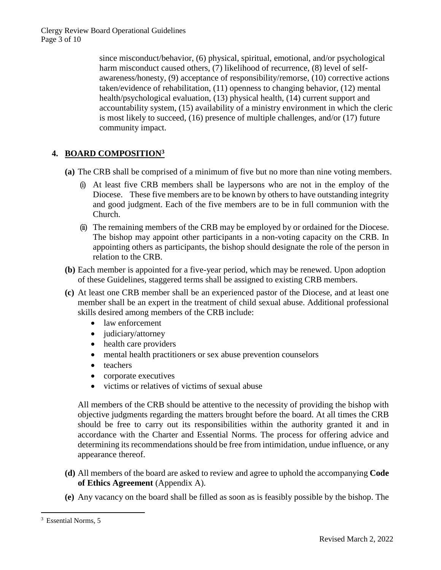Clergy Review Board Operational Guidelines Page 3 of 10

> since misconduct/behavior, (6) physical, spiritual, emotional, and/or psychological harm misconduct caused others, (7) likelihood of recurrence, (8) level of selfawareness/honesty, (9) acceptance of responsibility/remorse, (10) corrective actions taken/evidence of rehabilitation, (11) openness to changing behavior, (12) mental health/psychological evaluation, (13) physical health, (14) current support and accountability system, (15) availability of a ministry environment in which the cleric is most likely to succeed, (16) presence of multiple challenges, and/or (17) future community impact.

### **4. BOARD COMPOSITION<sup>3</sup>**

- **(a)** The CRB shall be comprised of a minimum of five but no more than nine voting members.
	- (i) At least five CRB members shall be laypersons who are not in the employ of the Diocese. These five members are to be known by others to have outstanding integrity and good judgment. Each of the five members are to be in full communion with the Church.
	- (ii) The remaining members of the CRB may be employed by or ordained for the Diocese. The bishop may appoint other participants in a non-voting capacity on the CRB. In appointing others as participants, the bishop should designate the role of the person in relation to the CRB.
- **(b)** Each member is appointed for a five-year period, which may be renewed. Upon adoption of these Guidelines, staggered terms shall be assigned to existing CRB members.
- **(c)** At least one CRB member shall be an experienced pastor of the Diocese, and at least one member shall be an expert in the treatment of child sexual abuse. Additional professional skills desired among members of the CRB include:
	- law enforcement
	- judiciary/attorney
	- health care providers
	- mental health practitioners or sex abuse prevention counselors
	- teachers
	- corporate executives
	- victims or relatives of victims of sexual abuse

All members of the CRB should be attentive to the necessity of providing the bishop with objective judgments regarding the matters brought before the board. At all times the CRB should be free to carry out its responsibilities within the authority granted it and in accordance with the Charter and Essential Norms. The process for offering advice and determining its recommendations should be free from intimidation, undue influence, or any appearance thereof.

- **(d)** All members of the board are asked to review and agree to uphold the accompanying **Code of Ethics Agreement** (Appendix A).
- **(e)** Any vacancy on the board shall be filled as soon as is feasibly possible by the bishop. The

 $\overline{\phantom{a}}$ 

<sup>3</sup> Essential Norms, 5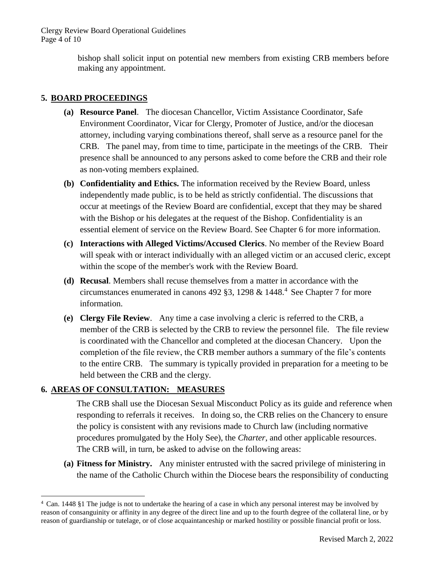Clergy Review Board Operational Guidelines Page 4 of 10

> bishop shall solicit input on potential new members from existing CRB members before making any appointment.

#### **5. BOARD PROCEEDINGS**

- **(a) Resource Panel**. The diocesan Chancellor, Victim Assistance Coordinator, Safe Environment Coordinator, Vicar for Clergy, Promoter of Justice, and/or the diocesan attorney, including varying combinations thereof, shall serve as a resource panel for the CRB. The panel may, from time to time, participate in the meetings of the CRB. Their presence shall be announced to any persons asked to come before the CRB and their role as non-voting members explained.
- **(b) Confidentiality and Ethics.** The information received by the Review Board, unless independently made public, is to be held as strictly confidential. The discussions that occur at meetings of the Review Board are confidential, except that they may be shared with the Bishop or his delegates at the request of the Bishop. Confidentiality is an essential element of service on the Review Board. See Chapter 6 for more information.
- **(c) Interactions with Alleged Victims/Accused Clerics**. No member of the Review Board will speak with or interact individually with an alleged victim or an accused cleric, except within the scope of the member's work with the Review Board.
- **(d) Recusal**. Members shall recuse themselves from a matter in accordance with the circumstances enumerated in canons 492 §3, 1298  $& 1448<sup>4</sup>$  See Chapter 7 for more information.
- **(e) Clergy File Review**. Any time a case involving a cleric is referred to the CRB, a member of the CRB is selected by the CRB to review the personnel file. The file review is coordinated with the Chancellor and completed at the diocesan Chancery. Upon the completion of the file review, the CRB member authors a summary of the file's contents to the entire CRB. The summary is typically provided in preparation for a meeting to be held between the CRB and the clergy.

#### **6. AREAS OF CONSULTATION: MEASURES**

 $\overline{\phantom{a}}$ 

The CRB shall use the Diocesan Sexual Misconduct Policy as its guide and reference when responding to referrals it receives. In doing so, the CRB relies on the Chancery to ensure the policy is consistent with any revisions made to Church law (including normative procedures promulgated by the Holy See), the *Charter*, and other applicable resources. The CRB will, in turn, be asked to advise on the following areas:

**(a) Fitness for Ministry.** Any minister entrusted with the sacred privilege of ministering in the name of the Catholic Church within the Diocese bears the responsibility of conducting

<sup>4</sup> Can. 1448 §1 The judge is not to undertake the hearing of a case in which any personal interest may be involved by reason of consanguinity or affinity in any degree of the direct line and up to the fourth degree of the collateral line, or by reason of guardianship or tutelage, or of close acquaintanceship or marked hostility or possible financial profit or loss.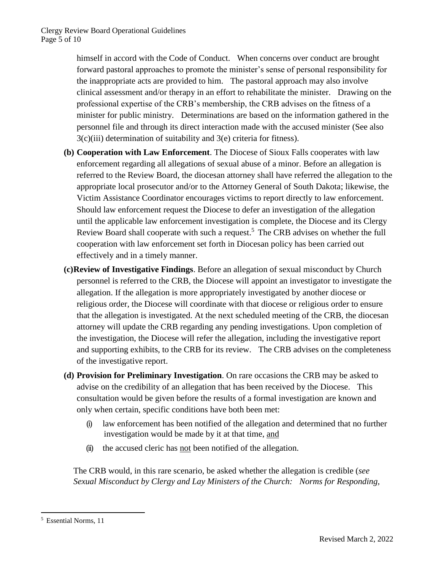himself in accord with the Code of Conduct. When concerns over conduct are brought forward pastoral approaches to promote the minister's sense of personal responsibility for the inappropriate acts are provided to him. The pastoral approach may also involve clinical assessment and/or therapy in an effort to rehabilitate the minister. Drawing on the professional expertise of the CRB's membership, the CRB advises on the fitness of a minister for public ministry. Determinations are based on the information gathered in the personnel file and through its direct interaction made with the accused minister (See also 3(c)(iii) determination of suitability and 3(e) criteria for fitness).

- **(b) Cooperation with Law Enforcement**. The Diocese of Sioux Falls cooperates with law enforcement regarding all allegations of sexual abuse of a minor. Before an allegation is referred to the Review Board, the diocesan attorney shall have referred the allegation to the appropriate local prosecutor and/or to the Attorney General of South Dakota; likewise, the Victim Assistance Coordinator encourages victims to report directly to law enforcement. Should law enforcement request the Diocese to defer an investigation of the allegation until the applicable law enforcement investigation is complete, the Diocese and its Clergy Review Board shall cooperate with such a request.<sup>5</sup> The CRB advises on whether the full cooperation with law enforcement set forth in Diocesan policy has been carried out effectively and in a timely manner.
- **(c)Review of Investigative Findings**. Before an allegation of sexual misconduct by Church personnel is referred to the CRB, the Diocese will appoint an investigator to investigate the allegation. If the allegation is more appropriately investigated by another diocese or religious order, the Diocese will coordinate with that diocese or religious order to ensure that the allegation is investigated. At the next scheduled meeting of the CRB, the diocesan attorney will update the CRB regarding any pending investigations. Upon completion of the investigation, the Diocese will refer the allegation, including the investigative report and supporting exhibits, to the CRB for its review. The CRB advises on the completeness of the investigative report.
- **(d) Provision for Preliminary Investigation**. On rare occasions the CRB may be asked to advise on the credibility of an allegation that has been received by the Diocese. This consultation would be given before the results of a formal investigation are known and only when certain, specific conditions have both been met:
	- (i) law enforcement has been notified of the allegation and determined that no further investigation would be made by it at that time, and
	- (ii) the accused cleric has not been notified of the allegation.

The CRB would, in this rare scenario, be asked whether the allegation is credible (*see Sexual Misconduct by Clergy and Lay Ministers of the Church: Norms for Responding,* 

 $\overline{\phantom{a}}$ <sup>5</sup> Essential Norms, 11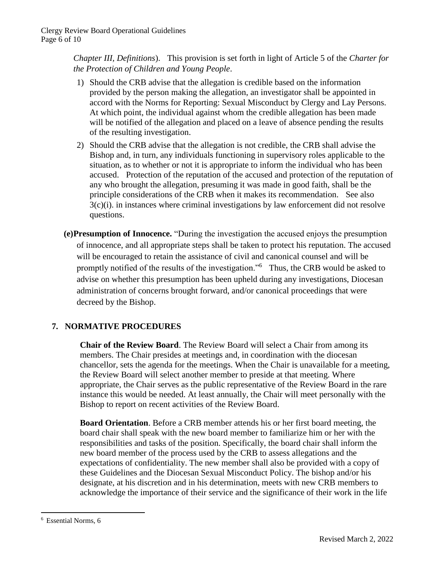*Chapter III, Definitions*). This provision is set forth in light of Article 5 of the *Charter for the Protection of Children and Young People*.

- 1) Should the CRB advise that the allegation is credible based on the information provided by the person making the allegation, an investigator shall be appointed in accord with the Norms for Reporting: Sexual Misconduct by Clergy and Lay Persons. At which point, the individual against whom the credible allegation has been made will be notified of the allegation and placed on a leave of absence pending the results of the resulting investigation.
- 2) Should the CRB advise that the allegation is not credible, the CRB shall advise the Bishop and, in turn, any individuals functioning in supervisory roles applicable to the situation, as to whether or not it is appropriate to inform the individual who has been accused. Protection of the reputation of the accused and protection of the reputation of any who brought the allegation, presuming it was made in good faith, shall be the principle considerations of the CRB when it makes its recommendation. See also  $3(c)(i)$ . in instances where criminal investigations by law enforcement did not resolve questions.
- **(e)Presumption of Innocence.** "During the investigation the accused enjoys the presumption of innocence, and all appropriate steps shall be taken to protect his reputation. The accused will be encouraged to retain the assistance of civil and canonical counsel and will be promptly notified of the results of the investigation."<sup>6</sup> Thus, the CRB would be asked to advise on whether this presumption has been upheld during any investigations, Diocesan administration of concerns brought forward, and/or canonical proceedings that were decreed by the Bishop.

## **7. NORMATIVE PROCEDURES**

**Chair of the Review Board**. The Review Board will select a Chair from among its members. The Chair presides at meetings and, in coordination with the diocesan chancellor, sets the agenda for the meetings. When the Chair is unavailable for a meeting, the Review Board will select another member to preside at that meeting. Where appropriate, the Chair serves as the public representative of the Review Board in the rare instance this would be needed. At least annually, the Chair will meet personally with the Bishop to report on recent activities of the Review Board.

**Board Orientation**. Before a CRB member attends his or her first board meeting, the board chair shall speak with the new board member to familiarize him or her with the responsibilities and tasks of the position. Specifically, the board chair shall inform the new board member of the process used by the CRB to assess allegations and the expectations of confidentiality. The new member shall also be provided with a copy of these Guidelines and the Diocesan Sexual Misconduct Policy. The bishop and/or his designate, at his discretion and in his determination, meets with new CRB members to acknowledge the importance of their service and the significance of their work in the life

 $\overline{\phantom{a}}$ 

<sup>6</sup> Essential Norms, 6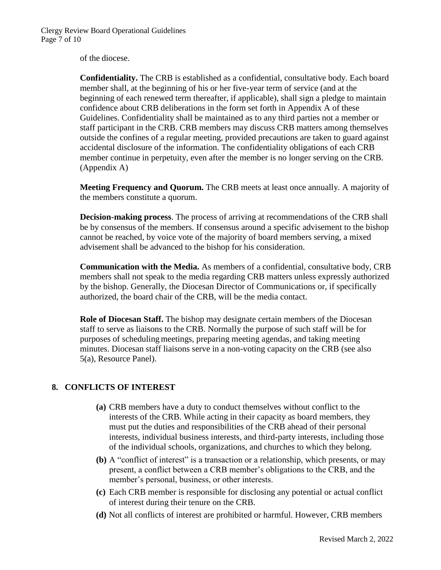of the diocese.

**Confidentiality.** The CRB is established as a confidential, consultative body. Each board member shall, at the beginning of his or her five-year term of service (and at the beginning of each renewed term thereafter, if applicable), shall sign a pledge to maintain confidence about CRB deliberations in the form set forth in Appendix A of these Guidelines. Confidentiality shall be maintained as to any third parties not a member or staff participant in the CRB. CRB members may discuss CRB matters among themselves outside the confines of a regular meeting, provided precautions are taken to guard against accidental disclosure of the information. The confidentiality obligations of each CRB member continue in perpetuity, even after the member is no longer serving on the CRB. (Appendix A)

**Meeting Frequency and Quorum.** The CRB meets at least once annually. A majority of the members constitute a quorum.

**Decision-making process**. The process of arriving at recommendations of the CRB shall be by consensus of the members. If consensus around a specific advisement to the bishop cannot be reached, by voice vote of the majority of board members serving, a mixed advisement shall be advanced to the bishop for his consideration.

**Communication with the Media.** As members of a confidential, consultative body, CRB members shall not speak to the media regarding CRB matters unless expressly authorized by the bishop. Generally, the Diocesan Director of Communications or, if specifically authorized, the board chair of the CRB, will be the media contact.

**Role of Diocesan Staff.** The bishop may designate certain members of the Diocesan staff to serve as liaisons to the CRB. Normally the purpose of such staff will be for purposes of schedulingmeetings, preparing meeting agendas, and taking meeting minutes. Diocesan staff liaisons serve in a non-voting capacity on the CRB (see also 5(a), Resource Panel).

#### **8. CONFLICTS OF INTEREST**

- **(a)** CRB members have a duty to conduct themselves without conflict to the interests of the CRB. While acting in their capacity as board members, they must put the duties and responsibilities of the CRB ahead of their personal interests, individual business interests, and third-party interests, including those of the individual schools, organizations, and churches to which they belong.
- **(b)** A "conflict of interest" is a transaction or a relationship, which presents, or may present, a conflict between a CRB member's obligations to the CRB, and the member's personal, business, or other interests.
- **(c)** Each CRB member is responsible for disclosing any potential or actual conflict of interest during their tenure on the CRB.
- **(d)** Not all conflicts of interest are prohibited or harmful. However, CRB members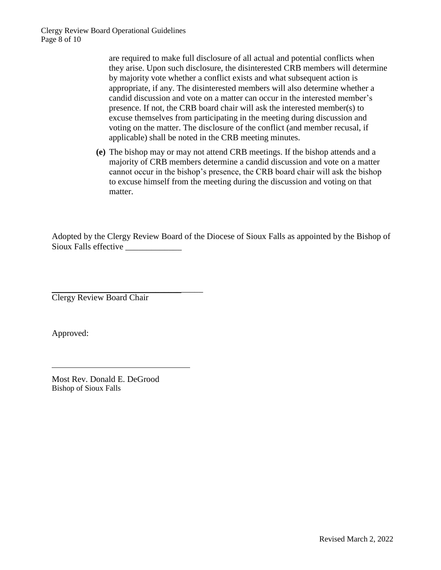are required to make full disclosure of all actual and potential conflicts when they arise. Upon such disclosure, the disinterested CRB members will determine by majority vote whether a conflict exists and what subsequent action is appropriate, if any. The disinterested members will also determine whether a candid discussion and vote on a matter can occur in the interested member's presence. If not, the CRB board chair will ask the interested member(s) to excuse themselves from participating in the meeting during discussion and voting on the matter. The disclosure of the conflict (and member recusal, if applicable) shall be noted in the CRB meeting minutes.

**(e)** The bishop may or may not attend CRB meetings. If the bishop attends and a majority of CRB members determine a candid discussion and vote on a matter cannot occur in the bishop's presence, the CRB board chair will ask the bishop to excuse himself from the meeting during the discussion and voting on that matter.

Adopted by the Clergy Review Board of the Diocese of Sioux Falls as appointed by the Bishop of Sioux Falls effective \_\_\_\_\_\_\_\_\_\_\_\_\_

\_\_\_\_\_\_\_\_\_\_\_\_\_\_\_\_\_\_\_\_\_\_\_\_\_\_\_\_\_\_\_\_\_\_\_ Clergy Review Board Chair

Approved:

Most Rev. Donald E. DeGrood Bishop of Sioux Falls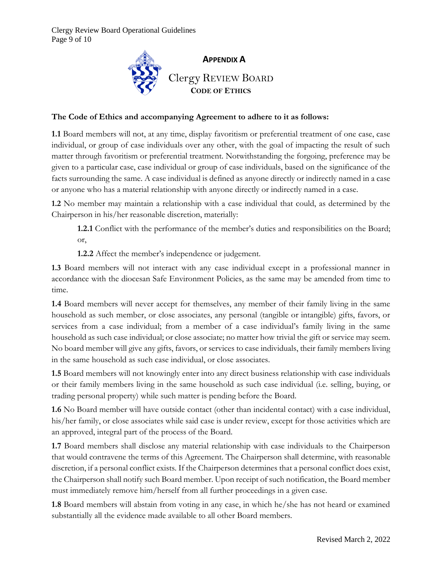

#### **The Code of Ethics and accompanying Agreement to adhere to it as follows:**

**1.1** Board members will not, at any time, display favoritism or preferential treatment of one case, case individual, or group of case individuals over any other, with the goal of impacting the result of such matter through favoritism or preferential treatment. Notwithstanding the forgoing, preference may be given to a particular case, case individual or group of case individuals, based on the significance of the facts surrounding the same. A case individual is defined as anyone directly or indirectly named in a case or anyone who has a material relationship with anyone directly or indirectly named in a case.

**1.2** No member may maintain a relationship with a case individual that could, as determined by the Chairperson in his/her reasonable discretion, materially:

**1.2.1** Conflict with the performance of the member's duties and responsibilities on the Board; or,

**1.2.2** Affect the member's independence or judgement.

**1.3** Board members will not interact with any case individual except in a professional manner in accordance with the diocesan Safe Environment Policies, as the same may be amended from time to time.

**1.4** Board members will never accept for themselves, any member of their family living in the same household as such member, or close associates, any personal (tangible or intangible) gifts, favors, or services from a case individual; from a member of a case individual's family living in the same household as such case individual; or close associate; no matter how trivial the gift or service may seem. No board member will give any gifts, favors, or services to case individuals, their family members living in the same household as such case individual, or close associates.

**1.5** Board members will not knowingly enter into any direct business relationship with case individuals or their family members living in the same household as such case individual (i.e. selling, buying, or trading personal property) while such matter is pending before the Board.

**1.6** No Board member will have outside contact (other than incidental contact) with a case individual, his/her family, or close associates while said case is under review, except for those activities which are an approved, integral part of the process of the Board.

**1.7** Board members shall disclose any material relationship with case individuals to the Chairperson that would contravene the terms of this Agreement. The Chairperson shall determine, with reasonable discretion, if a personal conflict exists. If the Chairperson determines that a personal conflict does exist, the Chairperson shall notify such Board member. Upon receipt of such notification, the Board member must immediately remove him/herself from all further proceedings in a given case.

**1.8** Board members will abstain from voting in any case, in which he/she has not heard or examined substantially all the evidence made available to all other Board members.